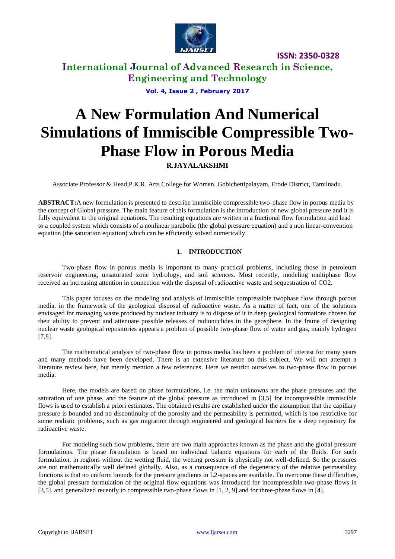

**International Journal of Advanced Research in Science, Engineering and Technology**

**Vol. 4, Issue 2 , February 2017**

# **A New Formulation And Numerical Simulations of Immiscible Compressible Two-Phase Flow in Porous Media**

# **R.JAYALAKSHMI**

Associate Professor & Head,P.K.R. Arts College for Women, Gobichettipalayam, Erode District, Tamilnadu.

**ABSTRACT:**A new formulation is presented to describe immiscible compressible two-phase flow in porous media by the concept of Global pressure. The main feature of this formulation is the introduction of new global pressure and it is fully equivalent to the original equations. The resulting equations are written in a fractional flow formulation and lead to a coupled system which consists of a nonlinear parabolic (the global pressure equation) and a non linear-convention equation (the saturation equation) which can be efficiently solved numerically.

### **1. INTRODUCTION**

Two-phase flow in porous media is important to many practical problems, including those in petroleum reservoir engineering, unsaturated zone hydrology, and soil sciences. Most recently, modeling multiphase flow received an increasing attention in connection with the disposal of radioactive waste and sequestration of CO2.

This paper focuses on the modeling and analysis of immiscible compressible twophase flow through porous media, in the framework of the geological disposal of radioactive waste. As a matter of fact, one of the solutions envisaged for managing waste produced by nuclear industry is to dispose of it in deep geological formations chosen for their ability to prevent and attenuate possible releases of radionuclides in the geosphere. In the frame of designing nuclear waste geological repositories appears a problem of possible two-phase flow of water and gas, mainly hydrogen [7,8].

The mathematical analysis of two-phase flow in porous media has been a problem of interest for many years and many methods have been developed. There is an extensive literature on this subject. We will not attempt a literature review here, but merely mention a few references. Here we restrict ourselves to two-phase flow in porous media.

Here, the models are based on phase formulations, i.e. the main unknowns are the phase pressures and the saturation of one phase, and the feature of the global pressure as introduced in [3,5] for incompressible immiscible flows is used to establish a priori estimates. The obtained results are established under the assumption that the capillary pressure is bounded and no discontinuity of the porosity and the permeability is permitted, which is too restrictive for some realistic problems, such as gas migration through engineered and geological barriers for a deep repository for radioactive waste.

For modeling such flow problems, there are two main approaches known as the phase and the global pressure formulations. The phase formulation is based on individual balance equations for each of the fluids. For such formulation, in regions without the wetting fluid, the wetting pressure is physically not well-defined. So the pressures are not mathematically well defined globally. Also, as a consequence of the degeneracy of the relative permeability functions is that no uniform bounds for the pressure gradients in L2-spaces are available. To overcome these difficulties, the global pressure formulation of the original flow equations was introduced for incompressible two-phase flows in [3,5], and generalized recently to compressible two-phase flows in [1, 2, 9] and for three-phase flows in [4].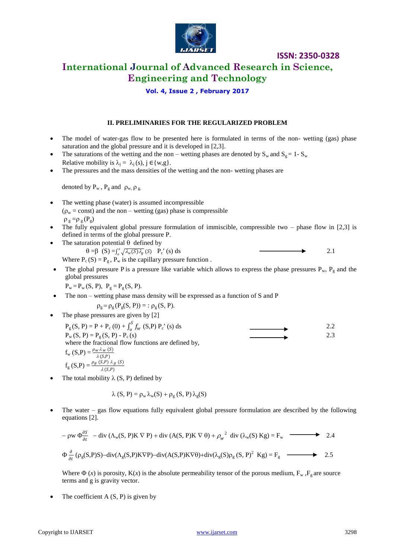

# **International Journal of Advanced Research in Science, Engineering and Technology**

**Vol. 4, Issue 2 , February 2017**

### **II. PRELIMINARIES FOR THE REGULARIZED PROBLEM**

- The model of water-gas flow to be presented here is formulated in terms of the non- wetting (gas) phase saturation and the global pressure and it is developed in [2,3].
- The saturations of the wetting and the non wetting phases are denoted by  $S_w$  and  $S_g = 1 S_w$ Relative mobility is  $\lambda_i = \lambda_i(s), j \in \{w, g\}.$
- The pressures and the mass densities of the wetting and the non- wetting phases are

denoted by  $P_w$ ,  $P_g$  and  $\rho_w$ ,  $\rho_g$ .

- The wetting phase (water) is assumed incompressible  $(\rho_w = \text{const})$  and the non – wetting (gas) phase is compressible  $\rho_g = \rho_g(P_g)$
- The fully equivalent global pressure formulation of immiscible, compressible two phase flow in [2,3] is defined in terms of the global pressure P.
- The saturation potential  $\theta$  defined by  $\theta = \beta$   $(S) = \int_{a}^{s} \sqrt{\lambda_{w}(S)\lambda_{g}}$  $\sqrt{\lambda_w(S)\lambda_g}$  (S)  $P_c'$  (s) ds 2.1 Where  $P_c(S) = P_g$ ,  $P_w$  is the capillary pressure function.
- The global pressure P is a pressure like variable which allows to express the phase pressures  $P_w$ ,  $P_g$  and the global pressures

$$
P_w = P_w(S, P), P_g = P_g(S, P).
$$

The non – wetting phase mass density will be expressed as a function of S and P

$$
\rho_g = \rho_g(P_g(S, P)) = : \rho_g(S, P).
$$

The phase pressures are given by [2]

 $P_{g}(S, P) = P + P_{c}(0) + \int_{0}^{S} f_{w}$  $\int_{0}^{5} f_{w}$  (S,P) P<sub>c</sub>' (s) ds 2.2  $P_w(S, P) = P_g(S, P) - P_c(s)$  2.3 where the fractional flow functions are defined by,  $f_{\rm w}$  (S,P) =  $\frac{\rho_{w} \lambda_{w}$  (S)<br> $\lambda$  (S,P)  $f_g(S,P) = \frac{\rho_g(S,P) \lambda_g(S)}{\lambda(S,P)}$ 

The total mobility  $\lambda$  (S, P) defined by

$$
\lambda(S, P) = \rho_w \lambda_w(S) + \rho_g(S, P) \lambda_g(S)
$$

 The water – gas flow equations fully equivalent global pressure formulation are described by the following equations [2].

$$
- \rho w \Phi_{\partial t}^{\partial S} - \text{div} (\Lambda_w(S, P) K \nabla P) + \text{div} (A(S, P) K \nabla \theta) + {\rho_w}^2 \text{ div} (\lambda_w(S) Kg) = F_w \longrightarrow 2.4
$$
  

$$
\Phi_{\partial t}^{\partial} (\rho_g(S, P)S) - \text{div} (\Lambda_g(S, P) K \nabla P) - \text{div} (A(S, P) K \nabla \theta) + \text{div} (\lambda_g(S) \rho_g(S, P)^2 Kg) = F_g \longrightarrow 2.5
$$

Where  $\Phi(x)$  is porosity,  $K(x)$  is the absolute permeability tensor of the porous medium,  $F_w$ ,  $F_g$  are source terms and g is gravity vector.

• The coefficient  $A(S, P)$  is given by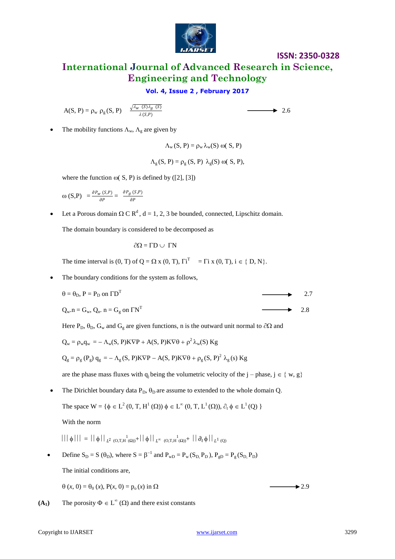

**International Journal of Advanced Research in Science, Engineering and Technology**

# **Vol. 4, Issue 2 , February 2017**

 $A(S, P) = \rho_w \rho_g(S, P)$   $\frac{\sqrt{\lambda_w (S) \lambda_g (S)}}{\lambda(S, P)}$  $\lambda(S,P)$ 

$$
\longrightarrow
$$
 2.6

The mobility functions  $\Lambda_w$ ,  $\Lambda_g$  are given by

$$
\Lambda_w(S, P) = \rho_w \lambda_w(S) \omega(S, P)
$$

$$
\Lambda_g(S, P) = \rho_g(S, P) \lambda_g(S) \omega(S, P),
$$

where the function  $\omega(S, P)$  is defined by ([2], [3])

$$
\omega(S,P) = \frac{\partial P_w(S,P)}{\partial P} = \frac{\partial P_g(S,P)}{\partial P}
$$

• Let a Porous domain  $\Omega \subset \mathbb{R}^d$ , d = 1, 2, 3 be bounded, connected, Lipschitz domain.

The domain boundary is considered to be decomposed as

$$
\partial\Omega=\Gamma D\cup\ \Gamma N
$$

The time interval is  $(0, T)$  of  $Q = \Omega x (0, T)$ ,  $\overline{I}^T = \overline{I} i x (0, T)$ ,  $i \in \{D, N\}$ .

• The boundary conditions for the system as follows,

$$
\theta = \theta_{\text{D}}, \, \text{P} = \text{P}_{\text{D}} \text{ on } \Gamma \text{D}^{\text{T}} \tag{2.7}
$$

 $\longrightarrow$  2.8

$$
Q_w.n = G_w, Q_n. n = G_g \text{ on } \Gamma N^T
$$

Here P<sub>D</sub>,  $\theta$ <sub>D</sub>, G<sub>w</sub> and G<sub>g</sub> are given functions, n is the outward unit normal to  $\partial\Omega$  and

$$
Q_w = \rho_w q_w = -\Lambda_w(S, P)K\nabla P + A(S, P)K\nabla \theta + \rho^2 \lambda_w(S) Kg
$$

$$
Q_g=\rho_g\left(P_g\right)q_g=-\Lambda_g\left(S,\,P\right)K\nabla P-A(S,\,P)K\nabla\theta+\rho_g\left(S,\,P\right)^2\,\lambda_g\left(s\right)\,Kg
$$

are the phase mass fluxes with q<sub>i</sub> being the volumetric velocity of the j – phase, j  $\in \{w, g\}$ 

• The Dirichlet boundary data  $P_D$ ,  $\theta_D$  are assume to extended to the whole domain Q.

The space 
$$
W = \{ \phi \in L^2(0, T, H^1(\Omega)) \phi \in L^\infty(0, T, L^1(\Omega)), \partial_t \phi \in L^1(Q) \}
$$

With the norm

$$
||| \phi ||| = || \phi ||_{L^{2} (O,T,H^{1}(\Omega))} + || \phi ||_{L^{\infty} (O,T,H^{1}(\Omega))} + || \partial_{t} \phi ||_{L^{1} (Q)}
$$

• Define  $S_D = S(\theta_D)$ , where  $S = \beta^{-1}$  and  $P_{wD} = P_w(S_D, P_D)$ ,  $P_{gD} = P_g(S_D, P_D)$ 

The initial conditions are,

$$
\theta(x, 0) = \theta_0(x), P(x, 0) = p_0(x) \text{ in } \Omega
$$

 $(A_1)$  The porosity  $\Phi \in L^{\infty}(\Omega)$  and there exist constants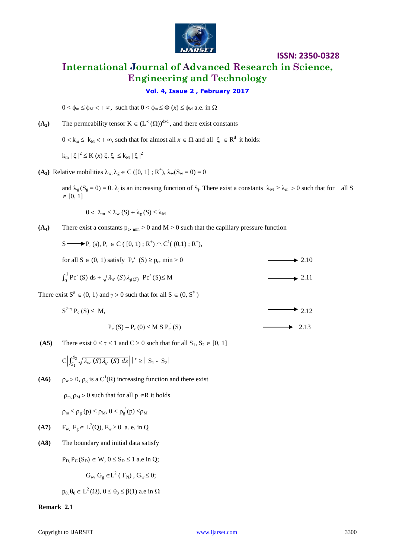

# **ISSN: 2350-0328 International Journal of Advanced Research in Science, Engineering and Technology**

# **Vol. 4, Issue 2 , February 2017**

 $0 < \phi_m \le \phi_M < +\infty$ , such that  $0 < \phi_m \le \Phi(x) \le \phi_M$  a.e. in  $\Omega$ 

 $(A_2)$  The permeability tensor  $K \in (L^{\infty}(\Omega))^{d \times d}$ , and there exist constants

 $0 < k_m \leq k_M < +\infty$ , such that for almost all  $x \in \Omega$  and all  $\xi \in R^d$  it holds:

$$
k_m \mid \xi \mid^2 \leq K(x) \xi, \xi \leq k_M \mid \xi \mid^2
$$

(A<sub>3</sub>) Relative mobilities  $\lambda_w, \lambda_g \in C([0, 1]; R^+), \lambda_w(S_w = 0) = 0$ 

and  $\lambda_g$  (S<sub>g</sub> = 0) = 0.  $\lambda_j$  is an increasing function of S<sub>j</sub>. There exist a constants  $\lambda_M \ge \lambda_m > 0$  such that for all S  $\in [0, 1]$ 

 $0 < \lambda_{m} \leq \lambda_{w} (S) + \lambda_{g} (S) \leq \lambda_{M}$ 

(A<sub>4</sub>) There exist a constants  $p_c$ ,  $_{min} > 0$  and  $M > 0$  such that the capillary pressure function

 $S \longrightarrow P_c(s), P_c \in C([0, 1); R^+) \cap C^1([0, 1); R^+),$ 

for all  $S \in (0, 1)$  satisfy  $P'_c$   $(S) \ge p_c$ , min > 0  $\longrightarrow 2.10$ 

$$
\int_0^1 \text{Pc}'(S) \, \text{d}s + \sqrt{\lambda_w(S)\lambda_{g(S)}} \, \text{Pc}'(S) \leq M \tag{2.11}
$$

There exist  $S^* \in (0, 1)$  and  $\gamma > 0$  such that for all  $S \in (0, S^*)$ 

$$
S^{2-\gamma} P_c(S) \le M,
$$
  
\n
$$
P_c(S) - P_c(0) \le M S P_c(S)
$$
  
\n2.12

**(A5)** There exist  $0 < \tau < 1$  and  $C > 0$  such that for all  $S_1, S_2 \in [0, 1]$ 

$$
C \Big| \int_{S_1}^{S_2} \sqrt{\lambda_w(S) \lambda_g(S) ds} \Big| \Big|^\tau \geq |S_1 - S_2|
$$

**(A6)**  $\rho_w > 0$ ,  $\rho_g$  is a C<sup>1</sup>(R) increasing function and there exist

 $\rho_m$ ,  $\rho_M > 0$  such that for all  $p \in R$  it holds

 $\rho_m \le \rho_g(p) \le \rho_M$ ,  $0 < \rho_g(p) \le \rho_M$ 

- **(A7)**  $F_w$ ,  $F_g \in L^2(Q)$ ,  $F_w \ge 0$  a. e. in Q
- **(A8)** The boundary and initial data satisfy

 $P_D$ ,  $P_C(S_D) \in W$ ,  $0 \le S_D \le 1$  a.e in Q;

$$
G_w, G_g \in L^2(\Gamma_N), G_w \leq 0;
$$

 $p_0, \theta_0 \in L^2(\Omega), 0 \le \theta_0 \le \beta(1)$  a.e in  $\Omega$ 

#### **Remark 2.1**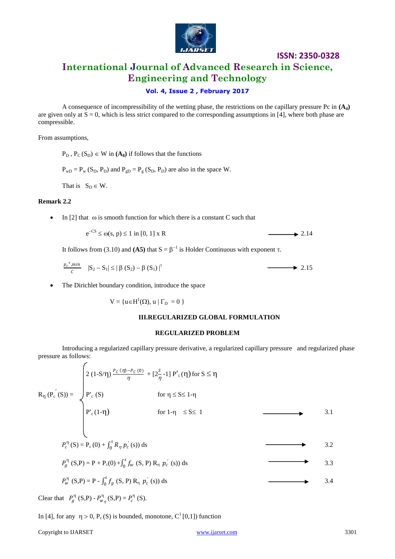

**International Journal of Advanced Research in Science, Engineering and Technology**

# **Vol. 4, Issue 2 , February 2017**

A consequence of incompressibility of the wetting phase, the restrictions on the capillary pressure Pc in **(A4)** are given only at  $\bar{S} = 0$ , which is less strict compared to the corresponding assumptions in [4], where both phase are compressible.

From assumptions,

 $P_D$ ,  $P_C(S_D) \in W$  in  $(A_8)$  if follows that the functions

 $P_{\text{wD}} = P_{\text{w}} (S_{\text{D}}, P_{\text{D}})$  and  $P_{\text{gD}} = P_{\text{g}} (S_{\text{D}}, P_{\text{D}})$  are also in the space W.

That is  $S_D \in W$ .

### **Remark 2.2**

• In [2] that  $\omega$  is smooth function for which there is a constant C such that

$$
e^{-CS} \le \omega(s, p) \le 1 \text{ in } [0, 1] \times R
$$

It follows from (3.10) and (A5) that  $S = \beta^{-1}$  is Holder Continuous with exponent  $\tau$ .

$$
\frac{p_c^{\tau}, \min}{c} \quad |\mathbf{S}_2 - \mathbf{S}_1| \le |\beta(\mathbf{S}_2) - \beta(\mathbf{S}_1)|^{\tau} \tag{2.15}
$$

The Dirichlet boundary condition, introduce the space

 $V = \{u \in H^1(\Omega), u \mid \Gamma_D = 0 \}$ 

### **III.REGULARIZED GLOBAL FORMULATION**

#### **REGULARIZED PROBLEM**

Introducing a regularized capillary pressure derivative, a regularized capillary pressure and regularized phase pressure as follows:

|                                                                                                   | $\left.\left.\right 2\left(1\text{-}S/\eta\right)\frac{P_{\mathcal{C}}\left(\eta\right)-P_{\mathcal{C}}\left(0\right)}{\eta}+\left[2\frac{S}{\eta}-1\right]P'\right c\left(\eta\right)\text{for }S\leq\eta\right $ |                               |  |     |
|---------------------------------------------------------------------------------------------------|--------------------------------------------------------------------------------------------------------------------------------------------------------------------------------------------------------------------|-------------------------------|--|-----|
|                                                                                                   |                                                                                                                                                                                                                    | for $\eta \leq S \leq 1-\eta$ |  |     |
| $R_{\eta} (P_c (S)) = \begin{cases} P_c (S) \\ P_c (1-\eta) \end{cases}$                          |                                                                                                                                                                                                                    | for 1- $\eta \leq S \leq 1$   |  | 3.1 |
|                                                                                                   |                                                                                                                                                                                                                    |                               |  |     |
| $P_c^{\eta}$ (S) = P <sub>c</sub> (0) + $\int_0^s R_{\eta} p_c'(s) ds$                            |                                                                                                                                                                                                                    |                               |  | 3.2 |
| $P_q^{\eta}$ (S,P) = P + P <sub>c</sub> (0) + $\int_0^s f_w$ (S, P) R <sub>n</sub> $p'_c$ (s)) ds |                                                                                                                                                                                                                    |                               |  | 3.3 |
| $P_w^{\eta}$ (S,P) = P - $\int_0^s f_g$ (S, P) R <sub>n</sub> $p_c'(s)$ ) ds                      |                                                                                                                                                                                                                    |                               |  | 3.4 |
|                                                                                                   |                                                                                                                                                                                                                    |                               |  |     |

Clear that  $P_g^{\eta}$  (S,P) -  $P_{w_\eta}^{\eta}$  (S,P) =  $P_c^{\eta}$  (S).

In [4], for any  $\eta > 0$ ,  $P_c(S)$  is bounded, monotone,  $C^1[0,1]$ ) function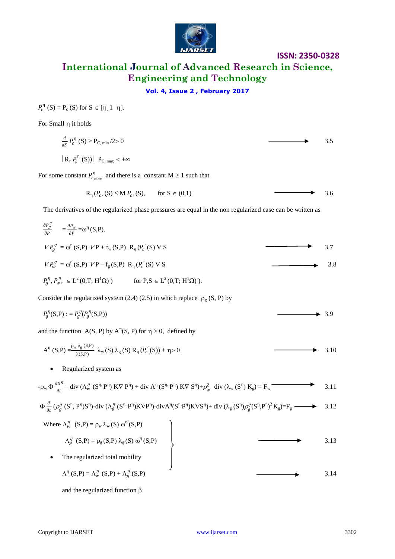

# **International Journal of Advanced Research in Science, Engineering and Technology**

# **Vol. 4, Issue 2 , February 2017**

 $P_c^{\eta}$  (S) = P<sub>c</sub> (S) for S  $\in$  [ $\eta$ , 1- $\eta$ ].

For Small  $\eta$  it holds

$$
\frac{d}{dS} P_c^{\eta} (S) \ge P_{C, \min} / 2 > 0
$$
\n
$$
| R_{\eta} P_c^{\eta} (S) | P_{C, \max} < +\infty
$$
\nFor some constant  $P_{C, \max}^{\eta}$  and there is a constant  $M \ge 1$  such that

$$
R_{\eta}(P_{c}, S) \le M P_{c}(S), \quad \text{for } S \in (0,1)
$$

The derivatives of the regularized phase pressures are equal in the non regularized case can be written as

$$
\frac{\partial P_g^{\eta}}{\partial P} = \frac{\partial P_w}{\partial P} = \omega^{\eta} (S, P).
$$
  
\n
$$
\nabla P_g^{\eta} = \omega^{\eta} (S, P) \nabla P + f_w (S, P) R_{\eta} (P_c (S) \nabla S)
$$
  
\n
$$
\nabla P_w^{\eta} = \omega^{\eta} (S, P) \nabla P - f_g (S, P) R_{\eta} (P_c (S) \nabla S)
$$
  
\n
$$
P_g^{\eta}, P_w^{\eta}, \in L^2(0, T; H^1 \Omega)
$$
  
\nfor P,S  $\in L^2(0, T; H^1 \Omega)$ .

Consider the regularized system (2.4) (2.5) in which replace  $\rho_{\rm g}$  (S, P) by

$$
P_g^{\eta}(S,P) := P_g^{\eta}(P_g^{\eta}(S,P)) \tag{3.9}
$$

and the function  $A(S, P)$  by  $A^{\eta}(S, P)$  for  $\eta > 0$ , defined by

$$
A^{\eta}(S,P) = \frac{\rho_w \rho_g(S,P)}{\lambda(S,P)} \lambda_w(S) \lambda_g(S) R_{\eta}(P_c'(S)) + \eta > 0
$$

#### • Regularized system as

$$
-\rho_{w} \Phi \frac{\partial S^{\eta}}{\partial t} - \text{div} (\Lambda_{w}^{\eta} (S^{\eta} \cdot P^{\eta}) \cdot K \nabla P^{\eta}) + \text{div} A^{\eta} (S^{\eta} \cdot P^{\eta}) \cdot K \nabla S^{\eta}) + \rho_{w}^{2} \text{div} (\lambda_{w} (S^{\eta}) \cdot K_{g}) = F_{w}
$$
\n3.11  
\n
$$
\Phi \frac{\partial}{\partial t} (\rho_{g}^{\eta} (S^{\eta}, P^{\eta}) S^{\eta}) - \text{div} (\Lambda_{g}^{\eta} (S^{\eta} \cdot P^{\eta}) K \nabla P^{\eta}) - \text{div} A^{\eta} (S^{\eta} \cdot P^{\eta}) K \nabla S^{\eta}) + \text{div} (\lambda_{g} (S^{\eta}) \rho_{g}^{\eta} (S^{\eta} \cdot P^{\eta})^{2} K_{g}) = F_{g}
$$
\n3.12  
\nWhere  $\Lambda_{w}^{\eta} (S, P) = \rho_{w} \lambda_{w} (S) \omega^{\eta} (S, P)$   
\n $\Lambda_{g}^{\eta} (S, P) = \rho_{g} (S, P) \lambda_{g} (S) \omega^{\eta} (S, P)$   
\n• The regularized total mobility

 $\Lambda^{\eta}$  (S,P) =  $\Lambda^{\eta}_{w}$  (S,P) +  $\Lambda^{\eta}_{g}$  $(S,P)$  3.14

and the regularized function  $\beta$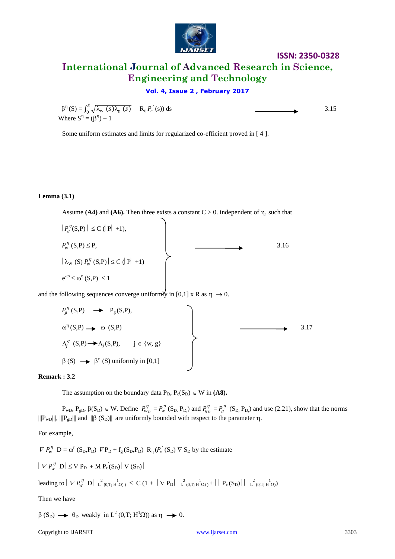

# **International Journal of Advanced Research in Science, Engineering and Technology**

# **Vol. 4, Issue 2 , February 2017**

 $\beta^{\eta}(\text{S}) = \int_0^S \sqrt{\lambda_{\text{w}}(s)\lambda_{\text{g}}(s)}$  $\int_0^3 \sqrt{\lambda_w (s) \lambda_g (s)}$   $R_\eta P_c'$ Where  $S^{\eta} = (\beta^{\eta}) - 1$ 

(s)) ds  $3.15$ 

Some uniform estimates and limits for regularized co-efficient proved in [ 4 ].

### **Lemma (3.1)**

Assume **(A4)** and **(A6).** Then three exists a constant  $C > 0$ . independent of  $\eta$ , such that

 $|P_{g}^{\eta}(S,P)| \leq C (|P| + 1),$  $P_w^{\eta}$  (S,P)  $\leq$  P, 3.16  $|\lambda_{\rm W}(\rm S) P_{\rm W}^{\eta}(\rm S, P)| \leq C (|P| + 1)$  $e^{-cs} \leq \omega^{\eta} (S,P) \leq 1$ 

and the following sequences converge uniformly in [0,1] x R as  $\eta \rightarrow 0$ .

$$
P_g^{\eta}(S,P) \longrightarrow P_g(S,P),
$$
  
\n
$$
\omega^{\eta}(S,P) \longrightarrow \omega(S,P)
$$
  
\n
$$
\Delta_j^{\eta}(S,P) \longrightarrow \Delta_j(S,P), \quad j \in \{w, g\}
$$
  
\n
$$
\beta(S) \longrightarrow \beta^{\eta}(S) \text{ uniformly in } [0,1]
$$
  
\n3.17

#### **Remark : 3.2**

The assumption on the boundary data  $P_D$ ,  $P_c(S_D) \in W$  in (A8).

 $P_{\text{wD}}$ ,  $P_{\text{gD}}$ ,  $\beta(S_D) \in W$ . Define  $P_{w_D}^{\eta} = P_{w_D}^{\eta}$  (S<sub>D,</sub> P<sub>D</sub>) and  $P_{g_D}^{\eta} = P_g^{\eta}$  (S<sub>D,</sub> P<sub>D</sub>) and use (2.21), show that the norms  $\|\Psi_{wD}\|$ ,  $\|\Psi_{gD}\|$  and  $\|\beta(S_D)\|$  are uniformly bounded with respect to the parameter  $\eta$ .

For example,

 $\nabla P_w^{\eta}$   $D = \omega^{\eta} (S_D, P_D) \nabla P_D + f_g (S_D, P_D) R_{\eta} (P_c (S_D) \nabla S_D)$  by the estimate

 $| \nabla P_{w}^{\eta} \mathbf{D} | \leq \nabla P_{\mathbf{D}} + \mathbf{M} P_{\mathbf{c}}(S_{\mathbf{D}}) | \nabla (S_{\mathbf{D}}) |$ 

leading to  $\mid \nabla P_w^{\eta} \cdot D \mid L^2_{(0,T;H^{\eta} \Omega)} \leq C \left(1+ \left| \mid \nabla P_D \right| \mid L^2_{(0,T;H^{\eta} \Omega)} + \left| \mid P_c(S_D) \right| \mid L^2_{(0,T;H^{\eta} \Omega)}$ 

#### Then we have

 $\beta(S_D) \rightarrow \theta_D$  weakly in  $L^2(0,T; H^1\Omega)$  as  $\eta \rightarrow 0$ .

#### Copyright to IJARSET [www.ijarset.com](http://www.ijarset.com/) 3303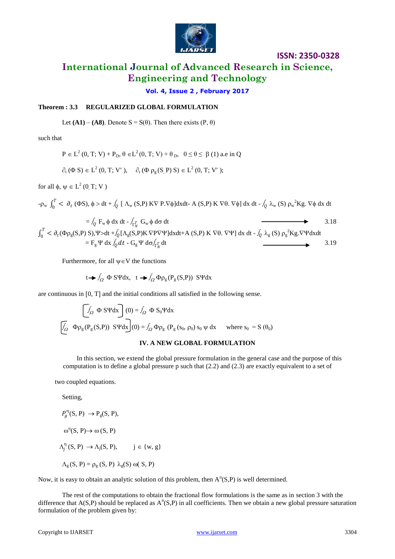

# **International Journal of Advanced Research in Science, Engineering and Technology**

**Vol. 4, Issue 2 , February 2017**

### **Theorem : 3.3 REGULARIZED GLOBAL FORMULATION**

Let  $(A1) - (A8)$ . Denote  $S = S(\theta)$ . Then there exists  $(P, \theta)$ 

such that

$$
P \in L^2(0, T; V) + P_D, \theta \in L^2(0, T; V) + \theta_D, 0 \le \theta \le \beta(1)
$$
 a.e in Q

$$
\partial_t (\Phi S) \in L^2(0, T; V'), \quad \partial_t (\Phi \rho_g(S, P) S) \in L^2(0, T; V');
$$

for all  $\phi$ ,  $\psi \in L^2(0, T; V)$ 

$$
-\rho_w\,\int_0^T<\,\partial_t\,\,(\Phi S),\,\varphi>dt\,+\,\textcolor{black}{\int_Q}\,[\,\,\Lambda_w\,(S,P)\,\,K\nabla\, P.\nabla\varphi]\,dx\,dt\,\textcolor{black}{-}\,\,A\,\,(S,P)\,\,K\,\nabla\theta.\,\,\nabla\varphi]\,\,dx\,\,dt\,\textcolor{black}{-\,\textcolor{black}{\int_Q}\,\lambda_w\,(S)\,\rho_w^{-2}Kg.\,\nabla\varphi\,\,dx\,\,dt\,\,dx}
$$

 $=\int_Q F_w \phi \, dx \, dt - \int_{\Gamma_N} T \, G_w \phi \, d\sigma \, dt$  3.18  $\int_0^T < \partial_t$  $\frac{d}{d} \frac{d}{d\theta} < \partial_t (\Phi \rho_g(S, P) \, S), \Psi > dt + \int_Q [\Lambda_g(S, P) \, K \, \nabla P \nabla \Psi] \, dx dt + A \, (S, P) \, K \, \nabla \theta. \, \nabla \Psi] \, dx dt - \int_Q \lambda_g(S) \, \rho_g^2 K g \, \nabla \Psi dx dt$  $=$  F<sub>g</sub>  $\Psi$  dx  $\int_Q dt$   $-$  G<sub>g</sub>  $\Psi$  d $\sigma$  $\int_{\Gamma_N}^T dt$   $\longrightarrow$  3.19

Furthermore, for all  $\psi \in V$  the functions

$$
t \rightarrow \int_{\Omega} \Phi S \Psi dx
$$
,  $t \rightarrow \int_{\Omega} \Phi \rho_{g} (P_{g}(S, P)) S \Psi dx$ 

are continuous in [0, T] and the initial conditions all satisfied in the following sense.

$$
\[\begin{array}{ccc}\n\hline\n\int_{\Omega} \Phi \, S \Psi dx\n\end{array}\n\]\n(0) = \int_{\Omega} \Phi S_0 \Psi dx\n\]\n\[\n\begin{array}{ccc}\n\hline\n\int_{\Omega} \Phi \rho_g (P_g (S, P)) \, S \Psi dx\n\end{array}\n\]\n(0) = \int_{\Omega} \Phi \rho_g (P_g (S_0, \rho_0) S_0 \psi dx \quad \text{where } S_0 = S (\theta_0)\n\]
$$

#### **IV. A NEW GLOBAL FORMULATION**

In this section, we extend the global pressure formulation in the general case and the purpose of this computation is to define a global pressure p such that (2.2) and (2.3) are exactly equivalent to a set of

two coupled equations.

Setting,

 $P_g^{\eta}(S, P) \rightarrow P_g(S, P),$  $\omega^{\eta}(S, P) \rightarrow \omega(S, P)$  $\Lambda_j^{\eta}(S, P) \rightarrow \Lambda_j(S, P), \qquad j \in \{w, g\}$ 

 $\Lambda_{g}$  (S, P) =  $\rho_{g}$  (S, P)  $\lambda_{g}$ (S)  $\omega$ (S, P)

Now, it is easy to obtain an analytic solution of this problem, then  $A<sup>n</sup>(S,P)$  is well determined.

The rest of the computations to obtain the fractional flow formulations is the same as in section 3 with the difference that  $A(S,P)$  should be replaced as  $A^n(S,P)$  in all coefficients. Then we obtain a new global pressure saturation formulation of the problem given by: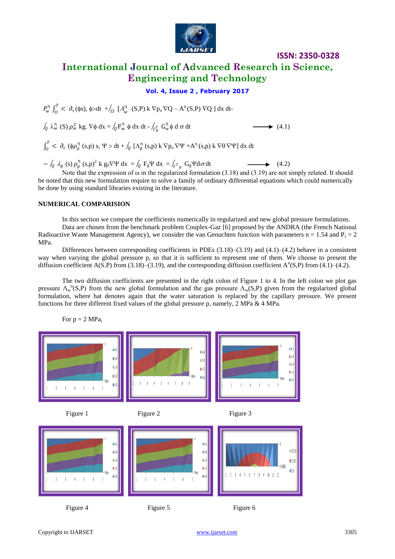

# **International Journal of Advanced Research in Science, Engineering and Technology**

**ISSN: 2350-0328**

### **Vol. 4, Issue 2 , February 2017**

 $P_{w}^{\eta} \int_{0}^{T} < \partial_{\tau}$  $\int_{0}^{T}$  <  $\partial_{\tau}(\phi s)$ ,  $\phi > dt$  +  $\int_{\Omega} [A_{w}^{\eta} (S,P) k \nabla p_{o} \nabla Q - A^{n}(S,P) \nabla Q ] dx dt$ 

 $\int_Q \lambda_w^{\eta}$  (S)  $\rho_w^2$  kg.  $\nabla \phi$  dx =  $\int_Q F_w^{\eta} \phi$  dx dt -  $\int_{\Gamma_N^T} G_w^{\eta}$  $\longrightarrow$  (4.1)

 $\int_0^T < \partial_t$  $\int_{0}^{T}$  <  $\partial_{t}$  ( $\phi \rho_{g}^{\eta}$  (s,p) s,  $\Psi > dt + \int_{Q} [\Lambda_{g}^{\eta}$  (s,p) k  $\nabla p_{o} \nabla \Psi + A^{\eta}$  (s,p) k  $\nabla \theta \nabla \Psi] dx dt$ 

 $-\int_{Q} \lambda_{g}(s) \rho_{g}^{n}(s,p)^{2} k g_{0} \nabla \Psi dx = \int_{Q} F_{g} \Psi dx = \int_{\Gamma} r_{N} G_{g} \Psi d\sigma dt$  (4.2)

Note that the expression of  $\omega$  in the regularized formulation (3.18) and (3.19) are not simply related. It should be noted that this new formulation require to solve a family of ordinary differential equations which could numerically be done by using standard libraries existing in the literature.

#### **NUMERICAL COMPARISION**

In this section we compare the coefficients numerically in regularized and new global pressure formulations. Data are chosen from the benchmark problem Couplex-Gaz [6] proposed by the ANDRA (the French National Radioactive Waste Management Agency), we consider the van Genuchten function with parameters  $n = 1.54$  and  $P_r = 2$ MPa.

Differences between corresponding coefficients in PDEs (3.18)–(3.19) and (4.1)–(4.2) behave in a consistent way when varying the global pressure p, so that it is sufficient to represent one of them. We choose to present the diffusion coefficient A(S.P) from (3.18)–(3.19), and the corresponding diffusion coefficient A<sup>n</sup>(S,P) from (4.1)–(4.2).

The two diffusion coefficients are presented in the right colon of Figure 1 to 4. In the left colon we plot gas pressure  $\Lambda_w^{-n}(S,P)$  from the new global formulation and the gas pressure  $\Lambda_w(S,P)$  given from the regularized global formulation, where hat denotes again that the water saturation is replaced by the capillary pressure. We present functions for three different fixed values of the global pressure p, namely, 2 MPa & 4 MPa.



For  $p = 2 MPa$ ,